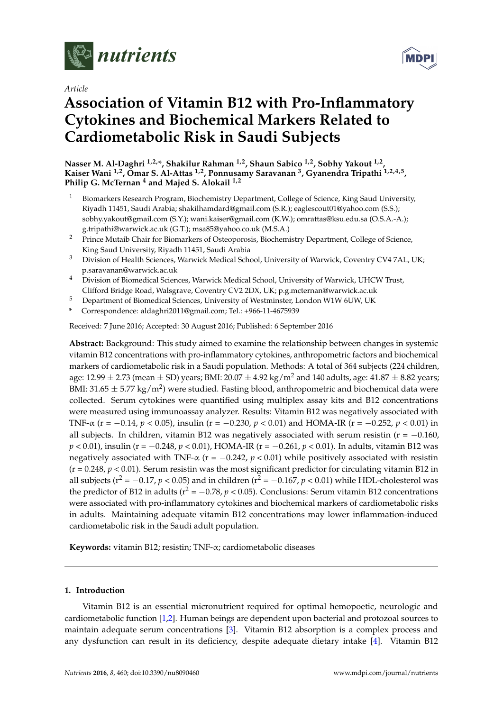

*Article*

# **Association of Vitamin B12 with Pro-Inflammatory Cytokines and Biochemical Markers Related to Cardiometabolic Risk in Saudi Subjects**

**Nasser M. Al-Daghri 1,2,\*, Shakilur Rahman 1,2, Shaun Sabico 1,2, Sobhy Yakout 1,2 , Kaiser Wani 1,2, Omar S. Al-Attas 1,2, Ponnusamy Saravanan <sup>3</sup> , Gyanendra Tripathi 1,2,4,5 , Philip G. McTernan <sup>4</sup> and Majed S. Alokail 1,2**

- <sup>1</sup> Biomarkers Research Program, Biochemistry Department, College of Science, King Saud University, Riyadh 11451, Saudi Arabia; shakilhamdard@gmail.com (S.R.); eaglescout01@yahoo.com (S.S.); sobhy.yakout@gmail.com (S.Y.); wani.kaiser@gmail.com (K.W.); omrattas@ksu.edu.sa (O.S.A.-A.); g.tripathi@warwick.ac.uk (G.T.); msa85@yahoo.co.uk (M.S.A.)
- <sup>2</sup> Prince Mutaib Chair for Biomarkers of Osteoporosis, Biochemistry Department, College of Science, King Saud University, Riyadh 11451, Saudi Arabia
- <sup>3</sup> Division of Health Sciences, Warwick Medical School, University of Warwick, Coventry CV4 7AL, UK; p.saravanan@warwick.ac.uk
- <sup>4</sup> Division of Biomedical Sciences, Warwick Medical School, University of Warwick, UHCW Trust, Clifford Bridge Road, Walsgrave, Coventry CV2 2DX, UK; p.g.mcternan@warwick.ac.uk
- <sup>5</sup> Department of Biomedical Sciences, University of Westminster, London W1W 6UW, UK
- **\*** Correspondence: aldaghri2011@gmail.com; Tel.: +966-11-4675939

Received: 7 June 2016; Accepted: 30 August 2016; Published: 6 September 2016

**Abstract:** Background: This study aimed to examine the relationship between changes in systemic vitamin B12 concentrations with pro-inflammatory cytokines, anthropometric factors and biochemical markers of cardiometabolic risk in a Saudi population. Methods: A total of 364 subjects (224 children, age:  $12.99 \pm 2.73$  (mean  $\pm$  SD) years; BMI:  $20.07 \pm 4.92$  kg/m<sup>2</sup> and 140 adults, age:  $41.87 \pm 8.82$  years; BMI: 31.65  $\pm$  5.77 kg/m<sup>2</sup>) were studied. Fasting blood, anthropometric and biochemical data were collected. Serum cytokines were quantified using multiplex assay kits and B12 concentrations were measured using immunoassay analyzer. Results: Vitamin B12 was negatively associated with TNF-α (r = −0.14, *p* < 0.05), insulin (r = −0.230, *p* < 0.01) and HOMA-IR (r = −0.252, *p* < 0.01) in all subjects. In children, vitamin B12 was negatively associated with serum resistin ( $r = -0.160$ , *p* < 0.01), insulin (r = −0.248, *p* < 0.01), HOMA-IR (r = −0.261, *p* < 0.01). In adults, vitamin B12 was negatively associated with TNF- $\alpha$  (r = -0.242,  $p < 0.01$ ) while positively associated with resistin  $(r = 0.248, p < 0.01)$ . Serum resistin was the most significant predictor for circulating vitamin B12 in all subjects ( $r^2 = -0.17$ ,  $p < 0.05$ ) and in children ( $r^2 = -0.167$ ,  $p < 0.01$ ) while HDL-cholesterol was the predictor of B12 in adults ( $r^2 = -0.78$ ,  $p < 0.05$ ). Conclusions: Serum vitamin B12 concentrations were associated with pro-inflammatory cytokines and biochemical markers of cardiometabolic risks in adults. Maintaining adequate vitamin B12 concentrations may lower inflammation-induced cardiometabolic risk in the Saudi adult population.

**Keywords:** vitamin B12; resistin; TNF-α; cardiometabolic diseases

## **1. Introduction**

Vitamin B12 is an essential micronutrient required for optimal hemopoetic, neurologic and cardiometabolic function [\[1,](#page-5-0)[2\]](#page-5-1). Human beings are dependent upon bacterial and protozoal sources to maintain adequate serum concentrations [\[3\]](#page-5-2). Vitamin B12 absorption is a complex process and any dysfunction can result in its deficiency, despite adequate dietary intake [\[4\]](#page-5-3). Vitamin B12

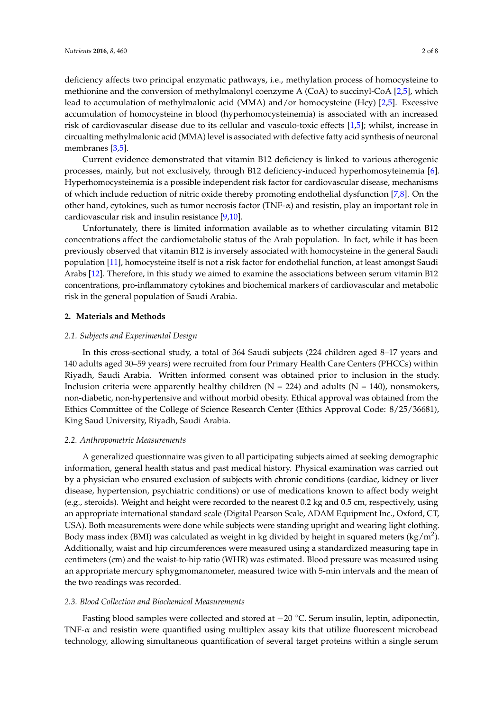membranes [\[3](#page-5-2)[,5\]](#page-6-0).

deficiency affects two principal enzymatic pathways, i.e., methylation process of homocysteine to methionine and the conversion of methylmalonyl coenzyme A (CoA) to succinyl-CoA [\[2](#page-5-1)[,5\]](#page-6-0), which lead to accumulation of methylmalonic acid (MMA) and/or homocysteine (Hcy) [\[2](#page-5-1)[,5\]](#page-6-0). Excessive accumulation of homocysteine in blood (hyperhomocysteinemia) is associated with an increased risk of cardiovascular disease due to its cellular and vasculo-toxic effects [\[1](#page-5-0)[,5\]](#page-6-0); whilst, increase in circualting methylmalonic acid (MMA) level is associated with defective fatty acid synthesis of neuronal

Current evidence demonstrated that vitamin B12 deficiency is linked to various atherogenic processes, mainly, but not exclusively, through B12 deficiency-induced hyperhomosyteinemia [\[6\]](#page-6-1). Hyperhomocysteinemia is a possible independent risk factor for cardiovascular disease, mechanisms of which include reduction of nitric oxide thereby promoting endothelial dysfunction [\[7,](#page-6-2)[8\]](#page-6-3). On the other hand, cytokines, such as tumor necrosis factor (TNF-α) and resistin, play an important role in cardiovascular risk and insulin resistance [\[9,](#page-6-4)[10\]](#page-6-5).

Unfortunately, there is limited information available as to whether circulating vitamin B12 concentrations affect the cardiometabolic status of the Arab population. In fact, while it has been previously observed that vitamin B12 is inversely associated with homocysteine in the general Saudi population [\[11\]](#page-6-6), homocysteine itself is not a risk factor for endothelial function, at least amongst Saudi Arabs [\[12\]](#page-6-7). Therefore, in this study we aimed to examine the associations between serum vitamin B12 concentrations, pro-inflammatory cytokines and biochemical markers of cardiovascular and metabolic risk in the general population of Saudi Arabia.

#### **2. Materials and Methods**

#### *2.1. Subjects and Experimental Design*

In this cross-sectional study, a total of 364 Saudi subjects (224 children aged 8–17 years and 140 adults aged 30–59 years) were recruited from four Primary Health Care Centers (PHCCs) within Riyadh, Saudi Arabia. Written informed consent was obtained prior to inclusion in the study. Inclusion criteria were apparently healthy children ( $N = 224$ ) and adults ( $N = 140$ ), nonsmokers, non-diabetic, non-hypertensive and without morbid obesity. Ethical approval was obtained from the Ethics Committee of the College of Science Research Center (Ethics Approval Code: 8/25/36681), King Saud University, Riyadh, Saudi Arabia.

#### *2.2. Anthropometric Measurements*

A generalized questionnaire was given to all participating subjects aimed at seeking demographic information, general health status and past medical history. Physical examination was carried out by a physician who ensured exclusion of subjects with chronic conditions (cardiac, kidney or liver disease, hypertension, psychiatric conditions) or use of medications known to affect body weight (e.g., steroids). Weight and height were recorded to the nearest 0.2 kg and 0.5 cm, respectively, using an appropriate international standard scale (Digital Pearson Scale, ADAM Equipment Inc., Oxford, CT, USA). Both measurements were done while subjects were standing upright and wearing light clothing. Body mass index (BMI) was calculated as weight in kg divided by height in squared meters (kg/m<sup>2</sup>). Additionally, waist and hip circumferences were measured using a standardized measuring tape in centimeters (cm) and the waist-to-hip ratio (WHR) was estimated. Blood pressure was measured using an appropriate mercury sphygmomanometer, measured twice with 5-min intervals and the mean of the two readings was recorded.

#### *2.3. Blood Collection and Biochemical Measurements*

Fasting blood samples were collected and stored at −20 ◦C. Serum insulin, leptin, adiponectin, TNF-α and resistin were quantified using multiplex assay kits that utilize fluorescent microbead technology, allowing simultaneous quantification of several target proteins within a single serum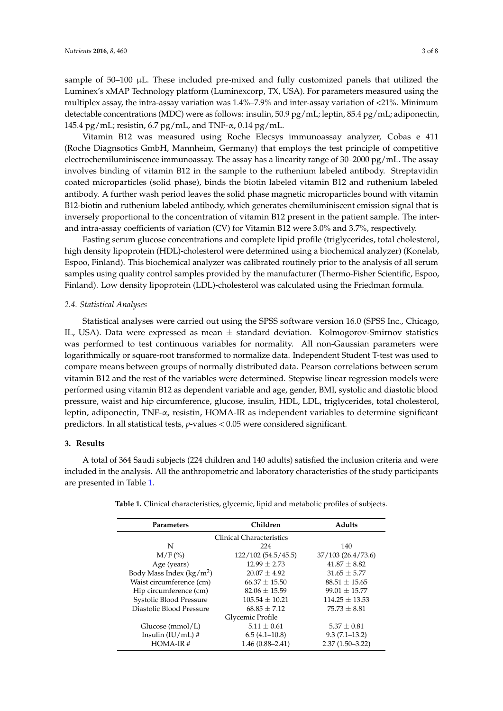sample of  $50-100$   $\mu$ . These included pre-mixed and fully customized panels that utilized the Luminex's xMAP Technology platform (Luminexcorp, TX, USA). For parameters measured using the multiplex assay, the intra-assay variation was 1.4%–7.9% and inter-assay variation of <21%. Minimum detectable concentrations (MDC) were as follows: insulin, 50.9 pg/mL; leptin, 85.4 pg/mL; adiponectin, 145.4 pg/mL; resistin, 6.7 pg/mL, and TNF- $\alpha$ , 0.14 pg/mL.

Vitamin B12 was measured using Roche Elecsys immunoassay analyzer, Cobas e 411 (Roche Diagnsotics GmbH, Mannheim, Germany) that employs the test principle of competitive electrochemiluminiscence immunoassay. The assay has a linearity range of 30–2000 pg/mL. The assay involves binding of vitamin B12 in the sample to the ruthenium labeled antibody. Streptavidin coated microparticles (solid phase), binds the biotin labeled vitamin B12 and ruthenium labeled antibody. A further wash period leaves the solid phase magnetic microparticles bound with vitamin B12-biotin and ruthenium labeled antibody, which generates chemiluminiscent emission signal that is inversely proportional to the concentration of vitamin B12 present in the patient sample. The interand intra-assay coefficients of variation (CV) for Vitamin B12 were 3.0% and 3.7%, respectively.

Fasting serum glucose concentrations and complete lipid profile (triglycerides, total cholesterol, high density lipoprotein (HDL)-cholesterol were determined using a biochemical analyzer) (Konelab, Espoo, Finland). This biochemical analyzer was calibrated routinely prior to the analysis of all serum samples using quality control samples provided by the manufacturer (Thermo-Fisher Scientific, Espoo, Finland). Low density lipoprotein (LDL)-cholesterol was calculated using the Friedman formula.

#### *2.4. Statistical Analyses*

Statistical analyses were carried out using the SPSS software version 16.0 (SPSS Inc., Chicago, IL, USA). Data were expressed as mean ± standard deviation. Kolmogorov-Smirnov statistics was performed to test continuous variables for normality. All non-Gaussian parameters were logarithmically or square-root transformed to normalize data. Independent Student T-test was used to compare means between groups of normally distributed data. Pearson correlations between serum vitamin B12 and the rest of the variables were determined. Stepwise linear regression models were performed using vitamin B12 as dependent variable and age, gender, BMI, systolic and diastolic blood pressure, waist and hip circumference, glucose, insulin, HDL, LDL, triglycerides, total cholesterol, leptin, adiponectin, TNF-α, resistin, HOMA-IR as independent variables to determine significant predictors. In all statistical tests, *p*-values < 0.05 were considered significant.

#### **3. Results**

A total of 364 Saudi subjects (224 children and 140 adults) satisfied the inclusion criteria and were included in the analysis. All the anthropometric and laboratory characteristics of the study participants are presented in Table [1.](#page-3-0)

| Parameters                 | Children            | <b>Adults</b>       |  |  |  |
|----------------------------|---------------------|---------------------|--|--|--|
| Clinical Characteristics   |                     |                     |  |  |  |
| N                          | 224                 | 140                 |  |  |  |
| $M/F$ (%)                  | 122/102 (54.5/45.5) | 37/103(26.4/73.6)   |  |  |  |
| Age (years)                | $12.99 \pm 2.73$    | $41.87 \pm 8.82$    |  |  |  |
| Body Mass Index $(kg/m^2)$ | $20.07 \pm 4.92$    | $31.65 \pm 5.77$    |  |  |  |
| Waist circumference (cm)   | $66.37 \pm 15.50$   | $88.51 \pm 15.65$   |  |  |  |
| Hip circumference (cm)     | $82.06 \pm 15.59$   | $99.01 \pm 15.77$   |  |  |  |
| Systolic Blood Pressure    | $105.54 \pm 10.21$  | $114.25 \pm 13.53$  |  |  |  |
| Diastolic Blood Pressure   | $68.85 + 7.12$      | $75.73 \pm 8.81$    |  |  |  |
| Glycemic Profile           |                     |                     |  |  |  |
| Glucose $(mmol/L)$         | $5.11 \pm 0.61$     | $5.37 \pm 0.81$     |  |  |  |
| Insulin $(IU/mL)$ #        | $6.5(4.1-10.8)$     | $9.3(7.1-13.2)$     |  |  |  |
| $HOMA-IR#$                 | $1.46(0.88 - 2.41)$ | $2.37(1.50 - 3.22)$ |  |  |  |

**Table 1.** Clinical characteristics, glycemic, lipid and metabolic profiles of subjects.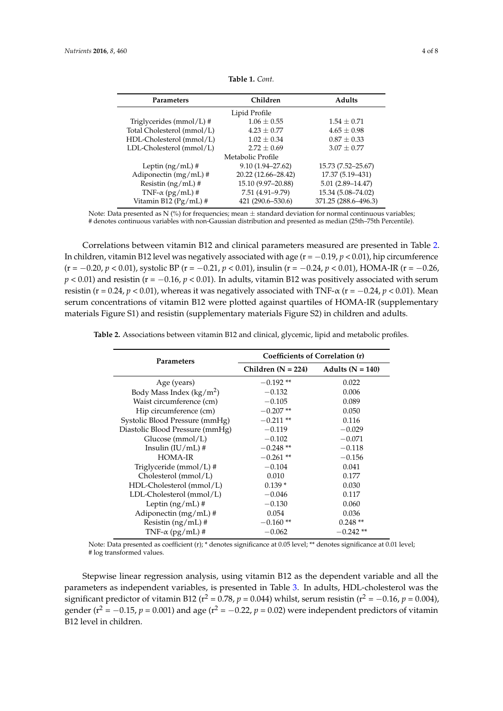<span id="page-3-0"></span>

| Parameters                 | Children             | <b>Adults</b>        |  |  |  |
|----------------------------|----------------------|----------------------|--|--|--|
| Lipid Profile              |                      |                      |  |  |  |
| Triglycerides (mmol/L) #   | $1.06 \pm 0.55$      | $1.54 + 0.71$        |  |  |  |
| Total Cholesterol (mmol/L) | $4.23 \pm 0.77$      | $4.65 \pm 0.98$      |  |  |  |
| HDL-Cholesterol (mmol/L)   | $1.02 + 0.34$        | $0.87 \pm 0.33$      |  |  |  |
| LDL-Cholesterol (mmol/L)   | $2.72 + 0.69$        | $3.07 \pm 0.77$      |  |  |  |
| Metabolic Profile          |                      |                      |  |  |  |
| Leptin $(ng/mL)$ #         | $9.10(1.94 - 27.62)$ | 15.73 (7.52–25.67)   |  |  |  |
| Adiponectin $(mg/mL)$ #    | 20.22 (12.66-28.42)  | 17.37 (5.19-431)     |  |  |  |
| Resistin $(ng/mL)$ #       | 15.10 (9.97-20.88)   | $5.01(2.89 - 14.47)$ |  |  |  |
| TNF- $\alpha$ (pg/mL) #    | 7.51 (4.91-9.79)     | 15.34 (5.08-74.02)   |  |  |  |
| Vitamin B12 (Pg/mL) #      | 421 (290.6–530.6)    | 371.25 (288.6-496.3) |  |  |  |

**Table 1.** *Cont.*

Note: Data presented as N (%) for frequencies; mean  $\pm$  standard deviation for normal continuous variables; # denotes continuous variables with non-Gaussian distribution and presented as median (25th–75th Percentile).

Correlations between vitamin B12 and clinical parameters measured are presented in Table [2.](#page-3-1) In children, vitamin B12 level was negatively associated with age (r = −0.19, *p* < 0.01), hip circumference (r = −0.20, *p* < 0.01), systolic BP (r = −0.21, *p* < 0.01), insulin (r = −0.24, *p* < 0.01), HOMA-IR (r = −0.26,  $p < 0.01$ ) and resistin (r =  $-0.16$ ,  $p < 0.01$ ). In adults, vitamin B12 was positively associated with serum resistin (r = 0.24, *p* < 0.01), whereas it was negatively associated with TNF- $\alpha$  (r = -0.24, *p* < 0.01). Mean serum concentrations of vitamin B12 were plotted against quartiles of HOMA-IR (supplementary materials Figure S1) and resistin (supplementary materials Figure S2) in children and adults.

<span id="page-3-1"></span>**Table 2.** Associations between vitamin B12 and clinical, glycemic, lipid and metabolic profiles.

| Parameters                          | Coefficients of Correlation (r) |                    |  |
|-------------------------------------|---------------------------------|--------------------|--|
|                                     | Children $(N = 224)$            | Adults $(N = 140)$ |  |
| Age (years)                         | $-0.192**$                      | 0.022              |  |
| Body Mass Index ( $\text{kg/m}^2$ ) | $-0.132$                        | 0.006              |  |
| Waist circumference (cm)            | $-0.105$<br>0.089               |                    |  |
| Hip circumference (cm)              | $-0.207**$                      | 0.050              |  |
| Systolic Blood Pressure (mmHg)      | $-0.211**$                      | 0.116              |  |
| Diastolic Blood Pressure (mmHg)     | $-0.119$                        | $-0.029$           |  |
| Glucose $(mmol/L)$                  | $-0.102$                        | $-0.071$           |  |
| Insulin $(IU/mL)$ #                 | $-0.248**$                      | $-0.118$           |  |
| <b>HOMA-IR</b>                      | $-0.261**$                      | $-0.156$           |  |
| Triglyceride (mmol/L) #             | $-0.104$                        | 0.041              |  |
| Cholesterol (mmol/L)                | 0.010                           | 0.177              |  |
| HDL-Cholesterol (mmol/L)            | $0.139*$                        | 0.030              |  |
| $LDL-Cholesterol (mmol/L)$          | $-0.046$                        | 0.117              |  |
| Leptin $(ng/mL)$ #                  | $-0.130$                        | 0.060              |  |
| Adiponectin $(mg/mL)$ #             | 0.054                           | 0.036              |  |
| Resistin $(ng/mL)$ #                | $-0.160**$                      | $0.248**$          |  |
| TNF- $\alpha$ (pg/mL) #             | $-0.062$                        | $-0.242**$         |  |

Note: Data presented as coefficient (r); \* denotes significance at 0.05 level; \*\* denotes significance at 0.01 level; # log transformed values.

Stepwise linear regression analysis, using vitamin B12 as the dependent variable and all the parameters as independent variables, is presented in Table [3.](#page-4-0) In adults, HDL-cholesterol was the significant predictor of vitamin B12 ( $r^2 = 0.78$ ,  $p = 0.044$ ) whilst, serum resistin ( $r^2 = -0.16$ ,  $p = 0.004$ ), gender ( $r^2 = -0.15$ ,  $p = 0.001$ ) and age ( $r^2 = -0.22$ ,  $p = 0.02$ ) were independent predictors of vitamin B12 level in children.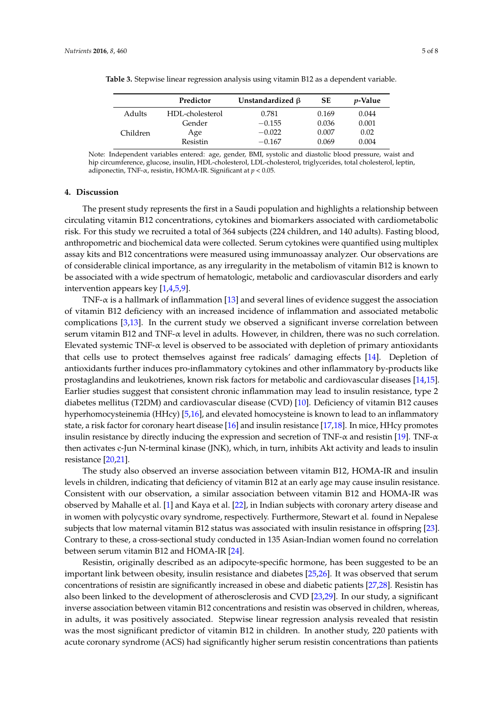|           | Predictor       | Unstandardized $\beta$ | SЕ    | <i>v</i> -Value |
|-----------|-----------------|------------------------|-------|-----------------|
| Adults    | HDL-cholesterol | 0.781                  | 0.169 | 0.044           |
|           | Gender          | $-0.155$               | 0.036 | 0.001           |
| Children. | Age             | $-0.022$               | 0.007 | 0.02            |
|           | Resistin        | $-0.167$               | 0.069 | 0.004           |

<span id="page-4-0"></span>**Table 3.** Stepwise linear regression analysis using vitamin B12 as a dependent variable.

Note: Independent variables entered: age, gender, BMI, systolic and diastolic blood pressure, waist and hip circumference, glucose, insulin, HDL-cholesterol, LDL-cholesterol, triglycerides, total cholesterol, leptin, adiponectin, TNF-α, resistin, HOMA-IR. Significant at *p* < 0.05.

#### **4. Discussion**

The present study represents the first in a Saudi population and highlights a relationship between circulating vitamin B12 concentrations, cytokines and biomarkers associated with cardiometabolic risk. For this study we recruited a total of 364 subjects (224 children, and 140 adults). Fasting blood, anthropometric and biochemical data were collected. Serum cytokines were quantified using multiplex assay kits and B12 concentrations were measured using immunoassay analyzer. Our observations are of considerable clinical importance, as any irregularity in the metabolism of vitamin B12 is known to be associated with a wide spectrum of hematologic, metabolic and cardiovascular disorders and early intervention appears key [\[1](#page-5-0)[,4,](#page-5-3)[5,](#page-6-0)[9\]](#page-6-4).

TNF-α is a hallmark of inflammation [\[13\]](#page-6-8) and several lines of evidence suggest the association of vitamin B12 deficiency with an increased incidence of inflammation and associated metabolic complications  $[3,13]$  $[3,13]$ . In the current study we observed a significant inverse correlation between serum vitamin B12 and TNF- $\alpha$  level in adults. However, in children, there was no such correlation. Elevated systemic TNF-α level is observed to be associated with depletion of primary antioxidants that cells use to protect themselves against free radicals' damaging effects [\[14\]](#page-6-9). Depletion of antioxidants further induces pro-inflammatory cytokines and other inflammatory by-products like prostaglandins and leukotrienes, known risk factors for metabolic and cardiovascular diseases [\[14](#page-6-9)[,15\]](#page-6-10). Earlier studies suggest that consistent chronic inflammation may lead to insulin resistance, type 2 diabetes mellitus (T2DM) and cardiovascular disease (CVD) [\[10\]](#page-6-5). Deficiency of vitamin B12 causes hyperhomocysteinemia (HHcy) [\[5](#page-6-0)[,16\]](#page-6-11), and elevated homocysteine is known to lead to an inflammatory state, a risk factor for coronary heart disease [\[16\]](#page-6-11) and insulin resistance [\[17,](#page-6-12)[18\]](#page-6-13). In mice, HHcy promotes insulin resistance by directly inducing the expression and secretion of TNF- $\alpha$  and resistin [\[19\]](#page-6-14). TNF- $\alpha$ then activates c-Jun N-terminal kinase (JNK), which, in turn, inhibits Akt activity and leads to insulin resistance [\[20](#page-6-15)[,21\]](#page-6-16).

The study also observed an inverse association between vitamin B12, HOMA-IR and insulin levels in children, indicating that deficiency of vitamin B12 at an early age may cause insulin resistance. Consistent with our observation, a similar association between vitamin B12 and HOMA-IR was observed by Mahalle et al. [\[1\]](#page-5-0) and Kaya et al. [\[22\]](#page-6-17), in Indian subjects with coronary artery disease and in women with polycystic ovary syndrome, respectively. Furthermore, Stewart et al. found in Nepalese subjects that low maternal vitamin B12 status was associated with insulin resistance in offspring [\[23\]](#page-6-18). Contrary to these, a cross-sectional study conducted in 135 Asian-Indian women found no correlation between serum vitamin B12 and HOMA-IR [\[24\]](#page-6-19).

Resistin, originally described as an adipocyte-specific hormone, has been suggested to be an important link between obesity, insulin resistance and diabetes [\[25](#page-6-20)[,26\]](#page-6-21). It was observed that serum concentrations of resistin are significantly increased in obese and diabetic patients [\[27,](#page-7-0)[28\]](#page-7-1). Resistin has also been linked to the development of atherosclerosis and CVD [\[23](#page-6-18)[,29\]](#page-7-2). In our study, a significant inverse association between vitamin B12 concentrations and resistin was observed in children, whereas, in adults, it was positively associated. Stepwise linear regression analysis revealed that resistin was the most significant predictor of vitamin B12 in children. In another study, 220 patients with acute coronary syndrome (ACS) had significantly higher serum resistin concentrations than patients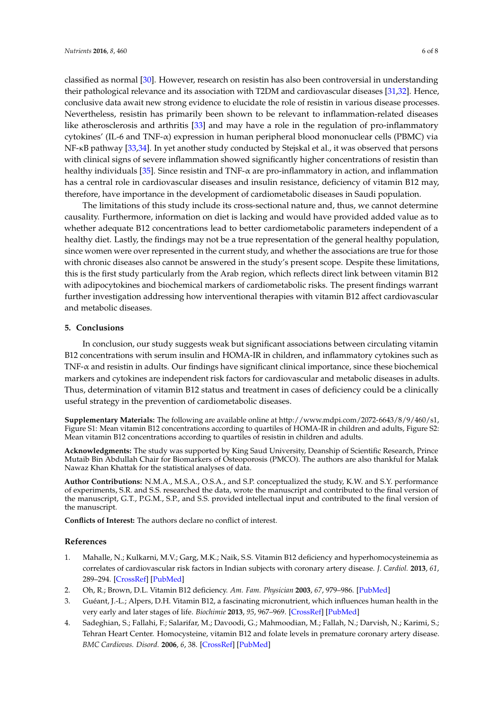classified as normal [\[30\]](#page-7-3). However, research on resistin has also been controversial in understanding their pathological relevance and its association with T2DM and cardiovascular diseases [\[31](#page-7-4)[,32\]](#page-7-5). Hence, conclusive data await new strong evidence to elucidate the role of resistin in various disease processes. Nevertheless, resistin has primarily been shown to be relevant to inflammation-related diseases like atherosclerosis and arthritis [\[33\]](#page-7-6) and may have a role in the regulation of pro-inflammatory cytokines' (IL-6 and TNF-α) expression in human peripheral blood mononuclear cells (PBMC) via NF-κB pathway [\[33](#page-7-6)[,34\]](#page-7-7). In yet another study conducted by Stejskal et al., it was observed that persons with clinical signs of severe inflammation showed significantly higher concentrations of resistin than healthy individuals [\[35\]](#page-7-8). Since resistin and TNF- $\alpha$  are pro-inflammatory in action, and inflammation has a central role in cardiovascular diseases and insulin resistance, deficiency of vitamin B12 may, therefore, have importance in the development of cardiometabolic diseases in Saudi population.

The limitations of this study include its cross-sectional nature and, thus, we cannot determine causality. Furthermore, information on diet is lacking and would have provided added value as to whether adequate B12 concentrations lead to better cardiometabolic parameters independent of a healthy diet. Lastly, the findings may not be a true representation of the general healthy population, since women were over represented in the current study, and whether the associations are true for those with chronic diseases also cannot be answered in the study's present scope. Despite these limitations, this is the first study particularly from the Arab region, which reflects direct link between vitamin B12 with adipocytokines and biochemical markers of cardiometabolic risks. The present findings warrant further investigation addressing how interventional therapies with vitamin B12 affect cardiovascular and metabolic diseases.

### **5. Conclusions**

In conclusion, our study suggests weak but significant associations between circulating vitamin B12 concentrations with serum insulin and HOMA-IR in children, and inflammatory cytokines such as TNF-α and resistin in adults. Our findings have significant clinical importance, since these biochemical markers and cytokines are independent risk factors for cardiovascular and metabolic diseases in adults. Thus, determination of vitamin B12 status and treatment in cases of deficiency could be a clinically useful strategy in the prevention of cardiometabolic diseases.

**Supplementary Materials:** The following are available online at [http://www.mdpi.com/2072-6643/8/9/460/s1,](http://www.mdpi.com/2072-6643/8/9/460/s1) Figure S1: Mean vitamin B12 concentrations according to quartiles of HOMA-IR in children and adults, Figure S2: Mean vitamin B12 concentrations according to quartiles of resistin in children and adults.

**Acknowledgments:** The study was supported by King Saud University, Deanship of Scientific Research, Prince Mutaib Bin Abdullah Chair for Biomarkers of Osteoporosis (PMCO). The authors are also thankful for Malak Nawaz Khan Khattak for the statistical analyses of data.

**Author Contributions:** N.M.A., M.S.A., O.S.A., and S.P. conceptualized the study, K.W. and S.Y. performance of experiments, S.R. and S.S. researched the data, wrote the manuscript and contributed to the final version of the manuscript, G.T., P.G.M., S.P., and S.S. provided intellectual input and contributed to the final version of the manuscript.

**Conflicts of Interest:** The authors declare no conflict of interest.

#### **References**

- <span id="page-5-0"></span>1. Mahalle, N.; Kulkarni, M.V.; Garg, M.K.; Naik, S.S. Vitamin B12 deficiency and hyperhomocysteinemia as correlates of cardiovascular risk factors in Indian subjects with coronary artery disease. *J. Cardiol.* **2013**, *61*, 289–294. [\[CrossRef\]](http://dx.doi.org/10.1016/j.jjcc.2012.11.009) [\[PubMed\]](http://www.ncbi.nlm.nih.gov/pubmed/23473764)
- <span id="page-5-1"></span>2. Oh, R.; Brown, D.L. Vitamin B12 deficiency. *Am. Fam. Physician* **2003**, *67*, 979–986. [\[PubMed\]](http://www.ncbi.nlm.nih.gov/pubmed/12643357)
- <span id="page-5-2"></span>3. Guéant, J.-L.; Alpers, D.H. Vitamin B12, a fascinating micronutrient, which influences human health in the very early and later stages of life. *Biochimie* **2013**, *95*, 967–969. [\[CrossRef\]](http://dx.doi.org/10.1016/j.biochi.2013.02.007) [\[PubMed\]](http://www.ncbi.nlm.nih.gov/pubmed/23415651)
- <span id="page-5-3"></span>4. Sadeghian, S.; Fallahi, F.; Salarifar, M.; Davoodi, G.; Mahmoodian, M.; Fallah, N.; Darvish, N.; Karimi, S.; Tehran Heart Center. Homocysteine, vitamin B12 and folate levels in premature coronary artery disease. *BMC Cardiovas. Disord.* **2006**, *6*, 38. [\[CrossRef\]](http://dx.doi.org/10.1186/1471-2261-6-38) [\[PubMed\]](http://www.ncbi.nlm.nih.gov/pubmed/17002799)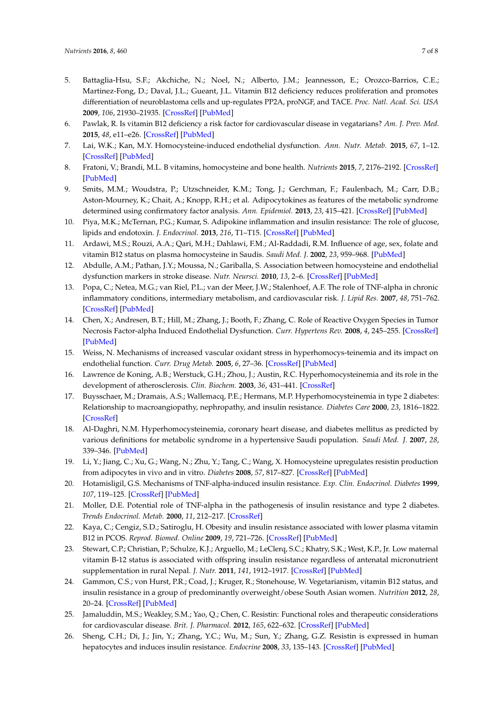- <span id="page-6-0"></span>5. Battaglia-Hsu, S.F.; Akchiche, N.; Noel, N.; Alberto, J.M.; Jeannesson, E.; Orozco-Barrios, C.E.; Martinez-Fong, D.; Daval, J.L.; Gueant, J.L. Vitamin B12 deficiency reduces proliferation and promotes differentiation of neuroblastoma cells and up-regulates PP2A, proNGF, and TACE. *Proc. Natl. Acad. Sci. USA* **2009**, *106*, 21930–21935. [\[CrossRef\]](http://dx.doi.org/10.1073/pnas.0811794106) [\[PubMed\]](http://www.ncbi.nlm.nih.gov/pubmed/19959661)
- <span id="page-6-1"></span>6. Pawlak, R. Is vitamin B12 deficiency a risk factor for cardiovascular disease in vegatarians? *Am. J. Prev. Med.* **2015**, *48*, e11–e26. [\[CrossRef\]](http://dx.doi.org/10.1016/j.amepre.2015.02.009) [\[PubMed\]](http://www.ncbi.nlm.nih.gov/pubmed/25998928)
- <span id="page-6-2"></span>7. Lai, W.K.; Kan, M.Y. Homocysteine-induced endothelial dysfunction. *Ann. Nutr. Metab.* **2015**, *67*, 1–12. [\[CrossRef\]](http://dx.doi.org/10.1159/000437098) [\[PubMed\]](http://www.ncbi.nlm.nih.gov/pubmed/26201664)
- <span id="page-6-3"></span>8. Fratoni, V.; Brandi, M.L. B vitamins, homocysteine and bone health. *Nutrients* **2015**, *7*, 2176–2192. [\[CrossRef\]](http://dx.doi.org/10.3390/nu7042176) [\[PubMed\]](http://www.ncbi.nlm.nih.gov/pubmed/25830943)
- <span id="page-6-4"></span>9. Smits, M.M.; Woudstra, P.; Utzschneider, K.M.; Tong, J.; Gerchman, F.; Faulenbach, M.; Carr, D.B.; Aston-Mourney, K.; Chait, A.; Knopp, R.H.; et al. Adipocytokines as features of the metabolic syndrome determined using confirmatory factor analysis. *Ann. Epidemiol.* **2013**, *23*, 415–421. [\[CrossRef\]](http://dx.doi.org/10.1016/j.annepidem.2013.03.001) [\[PubMed\]](http://www.ncbi.nlm.nih.gov/pubmed/23535025)
- <span id="page-6-5"></span>10. Piya, M.K.; McTernan, P.G.; Kumar, S. Adipokine inflammation and insulin resistance: The role of glucose, lipids and endotoxin. *J. Endocrinol.* **2013**, *216*, T1–T15. [\[CrossRef\]](http://dx.doi.org/10.1530/JOE-12-0498) [\[PubMed\]](http://www.ncbi.nlm.nih.gov/pubmed/23160966)
- <span id="page-6-6"></span>11. Ardawi, M.S.; Rouzi, A.A.; Qari, M.H.; Dahlawi, F.M.; Al-Raddadi, R.M. Influence of age, sex, folate and vitamin B12 status on plasma homocysteine in Saudis. *Saudi Med. J.* **2002**, *23*, 959–968. [\[PubMed\]](http://www.ncbi.nlm.nih.gov/pubmed/12235471)
- <span id="page-6-7"></span>12. Abdulle, A.M.; Pathan, J.Y.; Moussa, N.; Gariballa, S. Association between homocysteine and endothelial dysfunction markers in stroke disease. *Nutr. Neursci.* **2010**, *13*, 2–6. [\[CrossRef\]](http://dx.doi.org/10.1179/147683010X12611460763562) [\[PubMed\]](http://www.ncbi.nlm.nih.gov/pubmed/20132648)
- <span id="page-6-8"></span>13. Popa, C.; Netea, M.G.; van Riel, P.L.; van der Meer, J.W.; Stalenhoef, A.F. The role of TNF-alpha in chronic inflammatory conditions, intermediary metabolism, and cardiovascular risk. *J. Lipid Res.* **2007**, *48*, 751–762. [\[CrossRef\]](http://dx.doi.org/10.1194/jlr.R600021-JLR200) [\[PubMed\]](http://www.ncbi.nlm.nih.gov/pubmed/17202130)
- <span id="page-6-9"></span>14. Chen, X.; Andresen, B.T.; Hill, M.; Zhang, J.; Booth, F.; Zhang, C. Role of Reactive Oxygen Species in Tumor Necrosis Factor-alpha Induced Endothelial Dysfunction. *Curr. Hypertens Rev.* **2008**, *4*, 245–255. [\[CrossRef\]](http://dx.doi.org/10.2174/157340208786241336) [\[PubMed\]](http://www.ncbi.nlm.nih.gov/pubmed/20559453)
- <span id="page-6-10"></span>15. Weiss, N. Mechanisms of increased vascular oxidant stress in hyperhomocys-teinemia and its impact on endothelial function. *Curr. Drug Metab.* **2005**, *6*, 27–36. [\[CrossRef\]](http://dx.doi.org/10.2174/1389200052997357) [\[PubMed\]](http://www.ncbi.nlm.nih.gov/pubmed/15720205)
- <span id="page-6-11"></span>16. Lawrence de Koning, A.B.; Werstuck, G.H.; Zhou, J.; Austin, R.C. Hyperhomocysteinemia and its role in the development of atherosclerosis. *Clin. Biochem.* **2003**, *36*, 431–441. [\[CrossRef\]](http://dx.doi.org/10.1016/S0009-9120(03)00062-6)
- <span id="page-6-12"></span>17. Buysschaer, M.; Dramais, A.S.; Wallemacq, P.E.; Hermans, M.P. Hyperhomocysteinemia in type 2 diabetes: Relationship to macroangiopathy, nephropathy, and insulin resistance. *Diabetes Care* **2000**, *23*, 1816–1822. [\[CrossRef\]](http://dx.doi.org/10.2337/diacare.23.12.1816)
- <span id="page-6-13"></span>18. Al-Daghri, N.M. Hyperhomocysteinemia, coronary heart disease, and diabetes mellitus as predicted by various definitions for metabolic syndrome in a hypertensive Saudi population. *Saudi Med. J.* **2007**, *28*, 339–346. [\[PubMed\]](http://www.ncbi.nlm.nih.gov/pubmed/17334456)
- <span id="page-6-14"></span>19. Li, Y.; Jiang, C.; Xu, G.; Wang, N.; Zhu, Y.; Tang, C.; Wang, X. Homocysteine upregulates resistin production from adipocytes in vivo and in vitro. *Diabetes* **2008**, *57*, 817–827. [\[CrossRef\]](http://dx.doi.org/10.2337/db07-0617) [\[PubMed\]](http://www.ncbi.nlm.nih.gov/pubmed/18192543)
- <span id="page-6-15"></span>20. Hotamisligil, G.S. Mechanisms of TNF-alpha-induced insulin resistance. *Exp. Clin. Endocrinol. Diabetes* **1999**, *107*, 119–125. [\[CrossRef\]](http://dx.doi.org/10.1055/s-0029-1212086) [\[PubMed\]](http://www.ncbi.nlm.nih.gov/pubmed/10320052)
- <span id="page-6-16"></span>21. Moller, D.E. Potential role of TNF-alpha in the pathogenesis of insulin resistance and type 2 diabetes. *Trends Endocrinol. Metab.* **2000**, *11*, 212–217. [\[CrossRef\]](http://dx.doi.org/10.1016/S1043-2760(00)00272-1)
- <span id="page-6-17"></span>22. Kaya, C.; Cengiz, S.D.; Satiroglu, H. Obesity and insulin resistance associated with lower plasma vitamin B12 in PCOS. *Reprod. Biomed. Online* **2009**, *19*, 721–726. [\[CrossRef\]](http://dx.doi.org/10.1016/j.rbmo.2009.06.005) [\[PubMed\]](http://www.ncbi.nlm.nih.gov/pubmed/20021721)
- <span id="page-6-18"></span>23. Stewart, C.P.; Christian, P.; Schulze, K.J.; Arguello, M.; LeClerq, S.C.; Khatry, S.K.; West, K.P., Jr. Low maternal vitamin B-12 status is associated with offspring insulin resistance regardless of antenatal micronutrient supplementation in rural Nepal. *J. Nutr.* **2011**, *141*, 1912–1917. [\[CrossRef\]](http://dx.doi.org/10.3945/jn.111.144717) [\[PubMed\]](http://www.ncbi.nlm.nih.gov/pubmed/21865563)
- <span id="page-6-19"></span>24. Gammon, C.S.; von Hurst, P.R.; Coad, J.; Kruger, R.; Stonehouse, W. Vegetarianism, vitamin B12 status, and insulin resistance in a group of predominantly overweight/obese South Asian women. *Nutrition* **2012**, *28*, 20–24. [\[CrossRef\]](http://dx.doi.org/10.1016/j.nut.2011.05.006) [\[PubMed\]](http://www.ncbi.nlm.nih.gov/pubmed/21835592)
- <span id="page-6-20"></span>25. Jamaluddin, M.S.; Weakley, S.M.; Yao, Q.; Chen, C. Resistin: Functional roles and therapeutic considerations for cardiovascular disease. *Brit. J. Pharmacol.* **2012**, *165*, 622–632. [\[CrossRef\]](http://dx.doi.org/10.1111/j.1476-5381.2011.01369.x) [\[PubMed\]](http://www.ncbi.nlm.nih.gov/pubmed/21545576)
- <span id="page-6-21"></span>26. Sheng, C.H.; Di, J.; Jin, Y.; Zhang, Y.C.; Wu, M.; Sun, Y.; Zhang, G.Z. Resistin is expressed in human hepatocytes and induces insulin resistance. *Endocrine* **2008**, *33*, 135–143. [\[CrossRef\]](http://dx.doi.org/10.1007/s12020-008-9065-y) [\[PubMed\]](http://www.ncbi.nlm.nih.gov/pubmed/18446452)